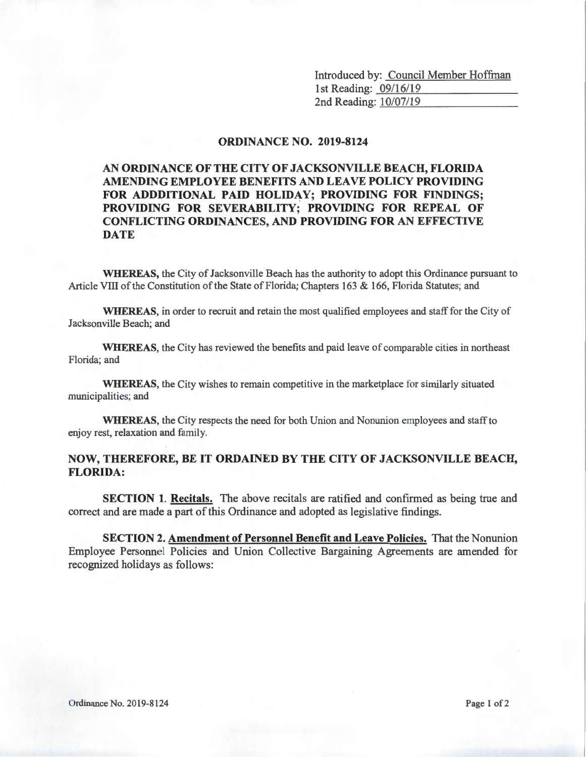Introduced by: Council Member Hoffman<br>1st Reading: 09/16/19 1st Reading: 09/16/19<br>2nd Reading: 10/07/19

## **ORDINANCE NO. 2019-8124**

## **AN ORDINANCE OF THE CITY OF JACKSONVILLE BEACH, FLORIDA AMENDING EMPLOYEE BENEFITS AND LEA VE POLICY PROVIDING FOR ADDDITIONAL PAID HOLIDAY; PROVIDING FOR FINDINGS; PROVIDING FOR SEVERABILITY; PROVIDING FOR REPEAL OF CONFLICTING ORDINANCES, AND PROVIDING FOR AN EFFECTIVE DATE**

**WHEREAS,** the City of Jacksonville Beach has the authority to adopt this Ordinance pursuant to Article Vill of the Constitution of the State of Florida; Chapters 163 & 166, Florida Statutes; and

**WHEREAS,** in order to recruit and retain the most qualified employees and staff for the City of Jacksonville Beach; and

**WHEREAS,** the City has reviewed the benefits and paid leave of comparable cities in northeast Florida; and

**WHEREAS,** the City wishes to remain competitive in the marketplace for similarly situated municipalities; and

**WHEREAS,** the City respects the need for both Union and Nonunion employees and staff to enjoy rest, relaxation and family.

## **NOW, THEREFORE, BE IT ORDAINED BY THE CITY OF JACKSONVILLE BEACH, FLORIDA:**

**SECTION 1. Recitals.** The above recitals are ratified and confirmed as being true and correct and are made a part of this Ordinance and adopted as legislative findings.

**SECTION 2. Amendment of Personnel Benefit and Leave Policies.** That the Nonunion Employee Personnel Policies and Union Collective Bargaining Agreements are amended for recognized holidays as follows: